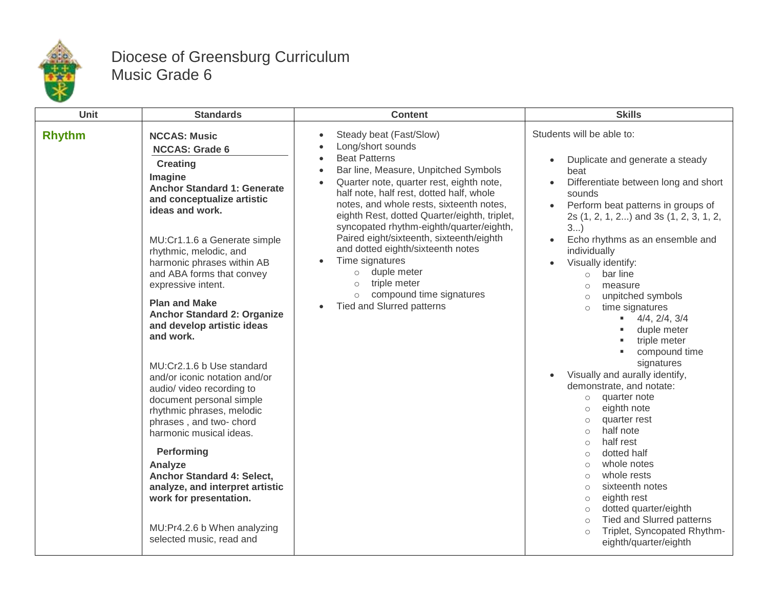

## Diocese of Greensburg Curriculum Music Grade 6

| Unit          | <b>Standards</b>                                                                                                                                                                                                                                                                                                                                                                                                                                                                                                                                                                                                                                                                                                                                                                                              | <b>Content</b>                                                                                                                                                                                                                                                                                                                                                                                                                                                                                                                                                                                                                                                              | <b>Skills</b>                                                                                                                                                                                                                                                                                                                                                                                                                                                                                                                                                                                                                                                                                                                                                                                                                                                                                                                                                                                      |
|---------------|---------------------------------------------------------------------------------------------------------------------------------------------------------------------------------------------------------------------------------------------------------------------------------------------------------------------------------------------------------------------------------------------------------------------------------------------------------------------------------------------------------------------------------------------------------------------------------------------------------------------------------------------------------------------------------------------------------------------------------------------------------------------------------------------------------------|-----------------------------------------------------------------------------------------------------------------------------------------------------------------------------------------------------------------------------------------------------------------------------------------------------------------------------------------------------------------------------------------------------------------------------------------------------------------------------------------------------------------------------------------------------------------------------------------------------------------------------------------------------------------------------|----------------------------------------------------------------------------------------------------------------------------------------------------------------------------------------------------------------------------------------------------------------------------------------------------------------------------------------------------------------------------------------------------------------------------------------------------------------------------------------------------------------------------------------------------------------------------------------------------------------------------------------------------------------------------------------------------------------------------------------------------------------------------------------------------------------------------------------------------------------------------------------------------------------------------------------------------------------------------------------------------|
| <b>Rhythm</b> | <b>NCCAS: Music</b><br><b>NCCAS: Grade 6</b><br><b>Creating</b><br>Imagine<br><b>Anchor Standard 1: Generate</b><br>and conceptualize artistic<br>ideas and work.<br>MU:Cr1.1.6 a Generate simple<br>rhythmic, melodic, and<br>harmonic phrases within AB<br>and ABA forms that convey<br>expressive intent.<br><b>Plan and Make</b><br><b>Anchor Standard 2: Organize</b><br>and develop artistic ideas<br>and work.<br>MU:Cr2.1.6 b Use standard<br>and/or iconic notation and/or<br>audio/ video recording to<br>document personal simple<br>rhythmic phrases, melodic<br>phrases, and two-chord<br>harmonic musical ideas.<br>Performing<br>Analyze<br>Anchor Standard 4: Select,<br>analyze, and interpret artistic<br>work for presentation.<br>MU:Pr4.2.6 b When analyzing<br>selected music, read and | Steady beat (Fast/Slow)<br>$\bullet$<br>Long/short sounds<br>$\bullet$<br><b>Beat Patterns</b><br>$\bullet$<br>Bar line, Measure, Unpitched Symbols<br>$\bullet$<br>Quarter note, quarter rest, eighth note,<br>$\bullet$<br>half note, half rest, dotted half, whole<br>notes, and whole rests, sixteenth notes,<br>eighth Rest, dotted Quarter/eighth, triplet,<br>syncopated rhythm-eighth/quarter/eighth,<br>Paired eight/sixteenth, sixteenth/eighth<br>and dotted eighth/sixteenth notes<br>Time signatures<br>$\bullet$<br>duple meter<br>$\circ$<br>triple meter<br>$\circ$<br>compound time signatures<br>$\circ$<br><b>Tied and Slurred patterns</b><br>$\bullet$ | Students will be able to:<br>Duplicate and generate a steady<br>$\bullet$<br>beat<br>Differentiate between long and short<br>sounds<br>Perform beat patterns in groups of<br>2s (1, 2, 1, 2) and 3s (1, 2, 3, 1, 2,<br>3<br>Echo rhythms as an ensemble and<br>individually<br>Visually identify:<br>bar line<br>$\circ$<br>measure<br>$\circ$<br>unpitched symbols<br>$\circ$<br>time signatures<br>$\circ$<br>4/4, 2/4, 3/4<br>duple meter<br>triple meter<br>compound time<br>signatures<br>Visually and aurally identify,<br>$\bullet$<br>demonstrate, and notate:<br>quarter note<br>$\circ$<br>eighth note<br>$\circ$<br>quarter rest<br>$\circ$<br>half note<br>$\circ$<br>half rest<br>$\circ$<br>dotted half<br>$\circ$<br>whole notes<br>$\circ$<br>whole rests<br>$\circ$<br>sixteenth notes<br>$\circ$<br>eighth rest<br>$\circ$<br>dotted quarter/eighth<br>$\circ$<br><b>Tied and Slurred patterns</b><br>$\circ$<br>Triplet, Syncopated Rhythm-<br>$\circ$<br>eighth/quarter/eighth |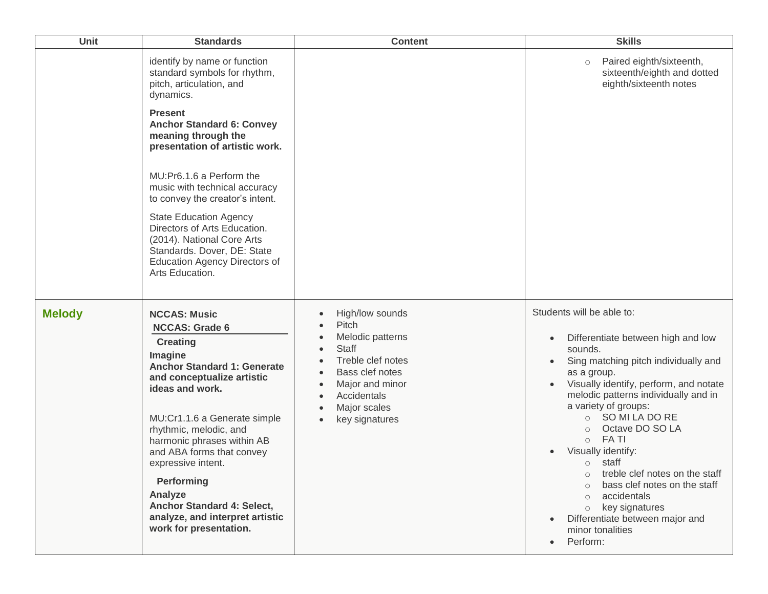| Unit          | <b>Standards</b>                                                                                                                                                                                                                                                                                                                                                                                                                 | <b>Content</b>                                                                                                                                                                        | <b>Skills</b>                                                                                                                                                                                                                                                                                                                                                                                                                                                                                                                                                                                      |
|---------------|----------------------------------------------------------------------------------------------------------------------------------------------------------------------------------------------------------------------------------------------------------------------------------------------------------------------------------------------------------------------------------------------------------------------------------|---------------------------------------------------------------------------------------------------------------------------------------------------------------------------------------|----------------------------------------------------------------------------------------------------------------------------------------------------------------------------------------------------------------------------------------------------------------------------------------------------------------------------------------------------------------------------------------------------------------------------------------------------------------------------------------------------------------------------------------------------------------------------------------------------|
|               | identify by name or function<br>standard symbols for rhythm,<br>pitch, articulation, and<br>dynamics.                                                                                                                                                                                                                                                                                                                            |                                                                                                                                                                                       | Paired eighth/sixteenth,<br>$\circ$<br>sixteenth/eighth and dotted<br>eighth/sixteenth notes                                                                                                                                                                                                                                                                                                                                                                                                                                                                                                       |
|               | <b>Present</b><br><b>Anchor Standard 6: Convey</b><br>meaning through the<br>presentation of artistic work.                                                                                                                                                                                                                                                                                                                      |                                                                                                                                                                                       |                                                                                                                                                                                                                                                                                                                                                                                                                                                                                                                                                                                                    |
|               | MU:Pr6.1.6 a Perform the<br>music with technical accuracy<br>to convey the creator's intent.                                                                                                                                                                                                                                                                                                                                     |                                                                                                                                                                                       |                                                                                                                                                                                                                                                                                                                                                                                                                                                                                                                                                                                                    |
|               | <b>State Education Agency</b><br>Directors of Arts Education.<br>(2014). National Core Arts<br>Standards. Dover, DE: State<br><b>Education Agency Directors of</b><br>Arts Education.                                                                                                                                                                                                                                            |                                                                                                                                                                                       |                                                                                                                                                                                                                                                                                                                                                                                                                                                                                                                                                                                                    |
| <b>Melody</b> | <b>NCCAS: Music</b><br><b>NCCAS: Grade 6</b><br><b>Creating</b><br>Imagine<br><b>Anchor Standard 1: Generate</b><br>and conceptualize artistic<br>ideas and work.<br>MU:Cr1.1.6 a Generate simple<br>rhythmic, melodic, and<br>harmonic phrases within AB<br>and ABA forms that convey<br>expressive intent.<br>Performing<br>Analyze<br>Anchor Standard 4: Select,<br>analyze, and interpret artistic<br>work for presentation. | High/low sounds<br>Pitch<br>Melodic patterns<br><b>Staff</b><br>Treble clef notes<br>Bass clef notes<br>$\bullet$<br>Major and minor<br>Accidentals<br>Major scales<br>key signatures | Students will be able to:<br>Differentiate between high and low<br>$\bullet$<br>sounds.<br>Sing matching pitch individually and<br>$\bullet$<br>as a group.<br>Visually identify, perform, and notate<br>melodic patterns individually and in<br>a variety of groups:<br>O SO MI LA DO RE<br>Octave DO SO LA<br>$\circ$<br>FA TI<br>$\circ$<br>Visually identify:<br>$\bullet$<br>o staff<br>treble clef notes on the staff<br>bass clef notes on the staff<br>accidentals<br>$\circ$<br>key signatures<br>$\circ$<br>Differentiate between major and<br>minor tonalities<br>Perform:<br>$\bullet$ |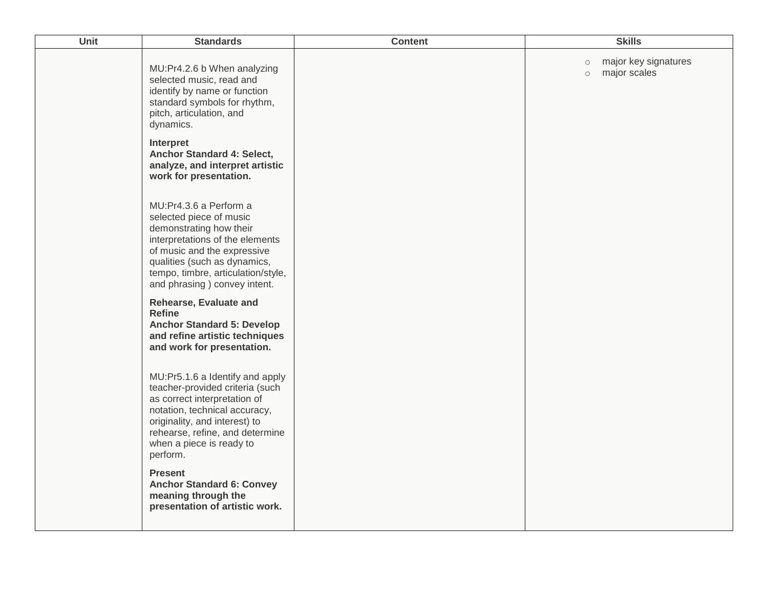| Unit | <b>Standards</b>                                                                                                                                                                                                                                      | <b>Content</b> | <b>Skills</b>                                              |
|------|-------------------------------------------------------------------------------------------------------------------------------------------------------------------------------------------------------------------------------------------------------|----------------|------------------------------------------------------------|
|      | MU:Pr4.2.6 b When analyzing<br>selected music, read and<br>identify by name or function<br>standard symbols for rhythm,<br>pitch, articulation, and<br>dynamics.                                                                                      |                | major key signatures<br>$\circ$<br>major scales<br>$\circ$ |
|      | Interpret<br>Anchor Standard 4: Select,<br>analyze, and interpret artistic<br>work for presentation.                                                                                                                                                  |                |                                                            |
|      | MU:Pr4.3.6 a Perform a<br>selected piece of music<br>demonstrating how their<br>interpretations of the elements<br>of music and the expressive<br>qualities (such as dynamics,<br>tempo, timbre, articulation/style,<br>and phrasing ) convey intent. |                |                                                            |
|      | Rehearse, Evaluate and<br><b>Refine</b><br><b>Anchor Standard 5: Develop</b><br>and refine artistic techniques<br>and work for presentation.                                                                                                          |                |                                                            |
|      | MU:Pr5.1.6 a Identify and apply<br>teacher-provided criteria (such<br>as correct interpretation of<br>notation, technical accuracy,<br>originality, and interest) to<br>rehearse, refine, and determine<br>when a piece is ready to<br>perform.       |                |                                                            |
|      | <b>Present</b><br><b>Anchor Standard 6: Convey</b><br>meaning through the<br>presentation of artistic work.                                                                                                                                           |                |                                                            |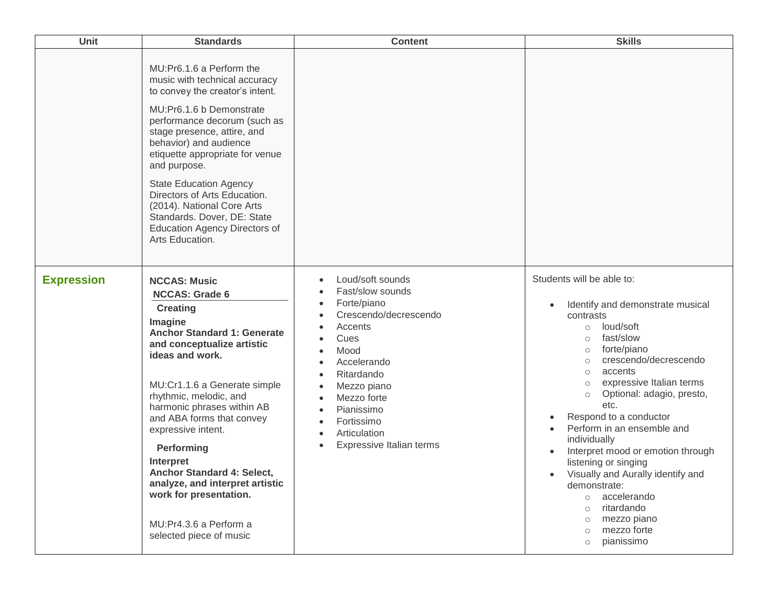| Unit              | <b>Standards</b>                                                                                                                                                                                                                                                                                                                                                                                                                                                                        | <b>Content</b>                                                                                                                                                                                                                                                                                                        | <b>Skills</b>                                                                                                                                                                                                                                                                                                                                                                                                                                                                                                                                                                                                                                |
|-------------------|-----------------------------------------------------------------------------------------------------------------------------------------------------------------------------------------------------------------------------------------------------------------------------------------------------------------------------------------------------------------------------------------------------------------------------------------------------------------------------------------|-----------------------------------------------------------------------------------------------------------------------------------------------------------------------------------------------------------------------------------------------------------------------------------------------------------------------|----------------------------------------------------------------------------------------------------------------------------------------------------------------------------------------------------------------------------------------------------------------------------------------------------------------------------------------------------------------------------------------------------------------------------------------------------------------------------------------------------------------------------------------------------------------------------------------------------------------------------------------------|
|                   | MU:Pr6.1.6 a Perform the<br>music with technical accuracy<br>to convey the creator's intent.<br>MU:Pr6.1.6 b Demonstrate<br>performance decorum (such as<br>stage presence, attire, and<br>behavior) and audience<br>etiquette appropriate for venue<br>and purpose.<br><b>State Education Agency</b><br>Directors of Arts Education.<br>(2014). National Core Arts<br>Standards. Dover, DE: State<br><b>Education Agency Directors of</b><br>Arts Education.                           |                                                                                                                                                                                                                                                                                                                       |                                                                                                                                                                                                                                                                                                                                                                                                                                                                                                                                                                                                                                              |
| <b>Expression</b> | <b>NCCAS: Music</b><br><b>NCCAS: Grade 6</b><br><b>Creating</b><br>Imagine<br><b>Anchor Standard 1: Generate</b><br>and conceptualize artistic<br>ideas and work.<br>MU:Cr1.1.6 a Generate simple<br>rhythmic, melodic, and<br>harmonic phrases within AB<br>and ABA forms that convey<br>expressive intent.<br>Performing<br>Interpret<br>Anchor Standard 4: Select,<br>analyze, and interpret artistic<br>work for presentation.<br>MU:Pr4.3.6 a Perform a<br>selected piece of music | Loud/soft sounds<br>$\bullet$<br>Fast/slow sounds<br>Forte/piano<br>Crescendo/decrescendo<br>Accents<br>Cues<br>Mood<br>Accelerando<br>٠<br>Ritardando<br>$\bullet$<br>Mezzo piano<br>٠<br>Mezzo forte<br>Pianissimo<br>Fortissimo<br>$\bullet$<br>Articulation<br>$\bullet$<br>Expressive Italian terms<br>$\bullet$ | Students will be able to:<br>Identify and demonstrate musical<br>$\bullet$<br>contrasts<br>loud/soft<br>$\circ$<br>fast/slow<br>$\circ$<br>forte/piano<br>$\circ$<br>crescendo/decrescendo<br>$\circ$<br>accents<br>$\circ$<br>expressive Italian terms<br>$\circ$<br>Optional: adagio, presto,<br>$\circ$<br>etc.<br>Respond to a conductor<br>Perform in an ensemble and<br>individually<br>Interpret mood or emotion through<br>listening or singing<br>Visually and Aurally identify and<br>demonstrate:<br>accelerando<br>$\circ$<br>ritardando<br>$\circ$<br>mezzo piano<br>$\circ$<br>mezzo forte<br>$\circ$<br>pianissimo<br>$\circ$ |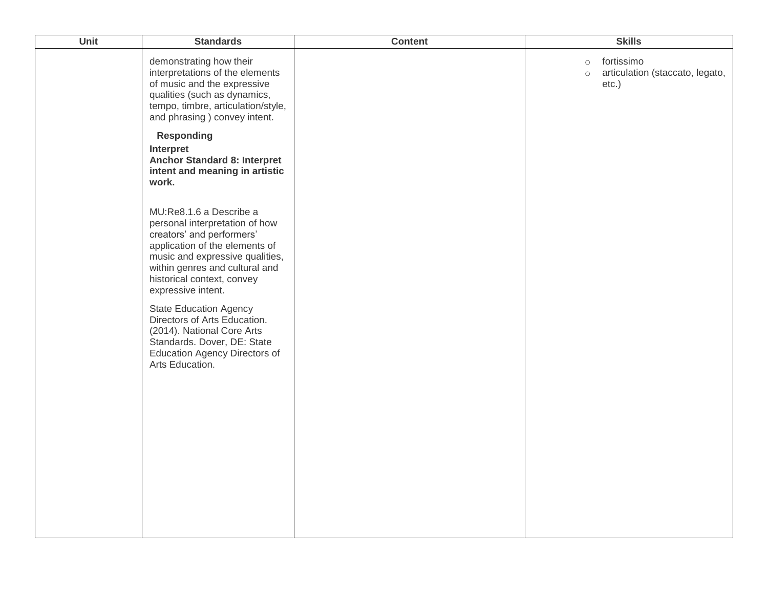| Unit | <b>Standards</b>                                                                                                                                                                                                                                  | <b>Content</b> | <b>Skills</b>                                                                   |
|------|---------------------------------------------------------------------------------------------------------------------------------------------------------------------------------------------------------------------------------------------------|----------------|---------------------------------------------------------------------------------|
|      | demonstrating how their<br>interpretations of the elements<br>of music and the expressive<br>qualities (such as dynamics,<br>tempo, timbre, articulation/style,<br>and phrasing ) convey intent.                                                  |                | fortissimo<br>$\circ$<br>articulation (staccato, legato,<br>$\circ$<br>$etc.$ ) |
|      | <b>Responding</b><br>Interpret<br><b>Anchor Standard 8: Interpret</b><br>intent and meaning in artistic<br>work.                                                                                                                                  |                |                                                                                 |
|      | MU:Re8.1.6 a Describe a<br>personal interpretation of how<br>creators' and performers'<br>application of the elements of<br>music and expressive qualities,<br>within genres and cultural and<br>historical context, convey<br>expressive intent. |                |                                                                                 |
|      | <b>State Education Agency</b><br>Directors of Arts Education.<br>(2014). National Core Arts<br>Standards. Dover, DE: State<br><b>Education Agency Directors of</b><br>Arts Education.                                                             |                |                                                                                 |
|      |                                                                                                                                                                                                                                                   |                |                                                                                 |
|      |                                                                                                                                                                                                                                                   |                |                                                                                 |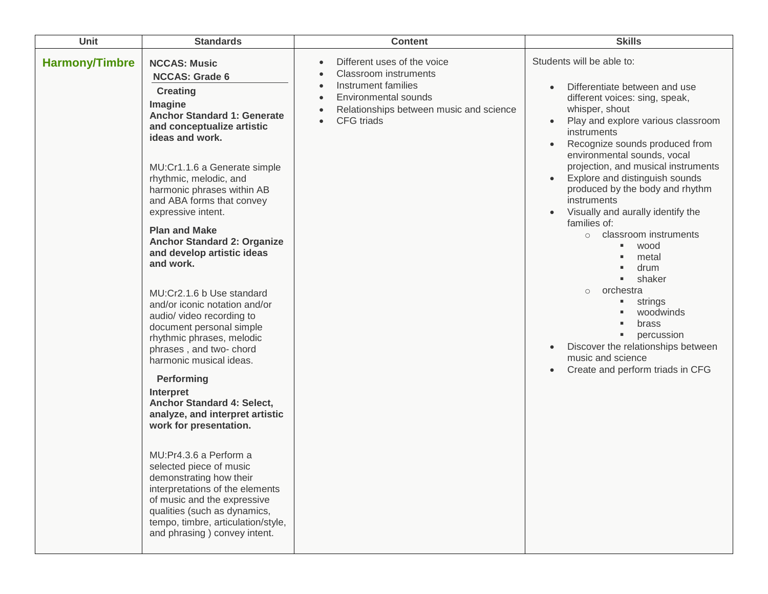| Unit                  | <b>Standards</b>                                                                                                                                                                                                                                                                                                                                                                                                                                                                                                                                                                                                                                                                                                                                                                                                                                                                                                                                                                                                      | <b>Content</b>                                                                                                                                                      | <b>Skills</b>                                                                                                                                                                                                                                                                                                                                                                                                                                                                                                                                                                                                                                                                                                                          |
|-----------------------|-----------------------------------------------------------------------------------------------------------------------------------------------------------------------------------------------------------------------------------------------------------------------------------------------------------------------------------------------------------------------------------------------------------------------------------------------------------------------------------------------------------------------------------------------------------------------------------------------------------------------------------------------------------------------------------------------------------------------------------------------------------------------------------------------------------------------------------------------------------------------------------------------------------------------------------------------------------------------------------------------------------------------|---------------------------------------------------------------------------------------------------------------------------------------------------------------------|----------------------------------------------------------------------------------------------------------------------------------------------------------------------------------------------------------------------------------------------------------------------------------------------------------------------------------------------------------------------------------------------------------------------------------------------------------------------------------------------------------------------------------------------------------------------------------------------------------------------------------------------------------------------------------------------------------------------------------------|
| <b>Harmony/Timbre</b> | <b>NCCAS: Music</b><br><b>NCCAS: Grade 6</b><br><b>Creating</b><br>Imagine<br><b>Anchor Standard 1: Generate</b><br>and conceptualize artistic<br>ideas and work.<br>MU:Cr1.1.6 a Generate simple<br>rhythmic, melodic, and<br>harmonic phrases within AB<br>and ABA forms that convey<br>expressive intent.<br><b>Plan and Make</b><br><b>Anchor Standard 2: Organize</b><br>and develop artistic ideas<br>and work.<br>MU:Cr2.1.6 b Use standard<br>and/or iconic notation and/or<br>audio/ video recording to<br>document personal simple<br>rhythmic phrases, melodic<br>phrases, and two- chord<br>harmonic musical ideas.<br>Performing<br><b>Interpret</b><br>Anchor Standard 4: Select,<br>analyze, and interpret artistic<br>work for presentation.<br>MU:Pr4.3.6 a Perform a<br>selected piece of music<br>demonstrating how their<br>interpretations of the elements<br>of music and the expressive<br>qualities (such as dynamics,<br>tempo, timbre, articulation/style,<br>and phrasing ) convey intent. | Different uses of the voice<br><b>Classroom</b> instruments<br>Instrument families<br>Environmental sounds<br>Relationships between music and science<br>CFG triads | Students will be able to:<br>Differentiate between and use<br>different voices: sing, speak,<br>whisper, shout<br>Play and explore various classroom<br>$\bullet$<br>instruments<br>Recognize sounds produced from<br>$\bullet$<br>environmental sounds, vocal<br>projection, and musical instruments<br>Explore and distinguish sounds<br>produced by the body and rhythm<br>instruments<br>Visually and aurally identify the<br>families of:<br>classroom instruments<br>$\circ$<br>wood<br>٠<br>metal<br>drum<br>٠<br>shaker<br>$\blacksquare$<br>orchestra<br>$\circ$<br>strings<br>٠<br>woodwinds<br>brass<br>٠<br>percussion<br>٠<br>Discover the relationships between<br>music and science<br>Create and perform triads in CFG |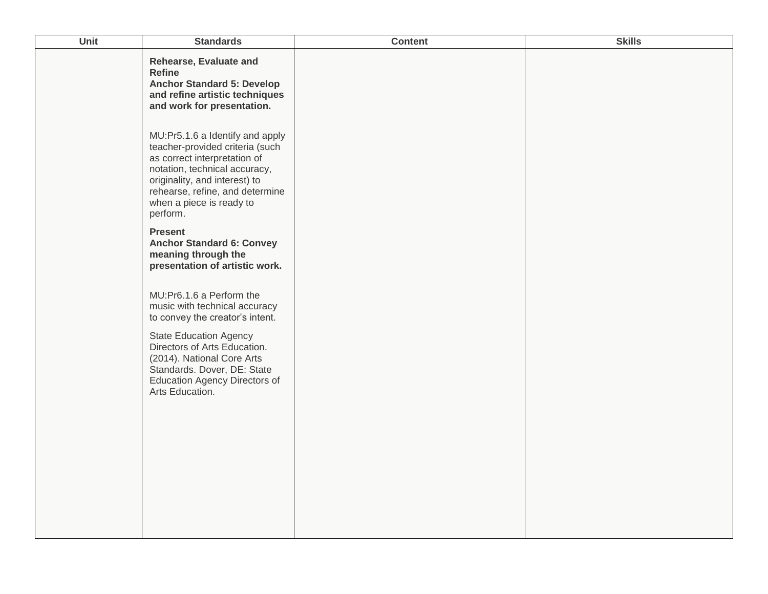| Rehearse, Evaluate and<br><b>Refine</b><br><b>Anchor Standard 5: Develop</b><br>and refine artistic techniques<br>and work for presentation.<br>MU:Pr5.1.6 a Identify and apply<br>teacher-provided criteria (such<br>as correct interpretation of<br>notation, technical accuracy,<br>originality, and interest) to<br>rehearse, refine, and determine<br>when a piece is ready to<br>perform.<br><b>Present</b><br><b>Anchor Standard 6: Convey</b><br>meaning through the<br>presentation of artistic work.<br>MU:Pr6.1.6 a Perform the<br>music with technical accuracy<br>to convey the creator's intent.<br><b>State Education Agency</b><br>Directors of Arts Education.<br>(2014). National Core Arts<br>Standards. Dover, DE: State<br><b>Education Agency Directors of</b><br>Arts Education. | Unit<br><b>Standards</b> | <b>Content</b> | <b>Skills</b> |
|---------------------------------------------------------------------------------------------------------------------------------------------------------------------------------------------------------------------------------------------------------------------------------------------------------------------------------------------------------------------------------------------------------------------------------------------------------------------------------------------------------------------------------------------------------------------------------------------------------------------------------------------------------------------------------------------------------------------------------------------------------------------------------------------------------|--------------------------|----------------|---------------|
|                                                                                                                                                                                                                                                                                                                                                                                                                                                                                                                                                                                                                                                                                                                                                                                                         |                          |                |               |
|                                                                                                                                                                                                                                                                                                                                                                                                                                                                                                                                                                                                                                                                                                                                                                                                         |                          |                |               |
|                                                                                                                                                                                                                                                                                                                                                                                                                                                                                                                                                                                                                                                                                                                                                                                                         |                          |                |               |
|                                                                                                                                                                                                                                                                                                                                                                                                                                                                                                                                                                                                                                                                                                                                                                                                         |                          |                |               |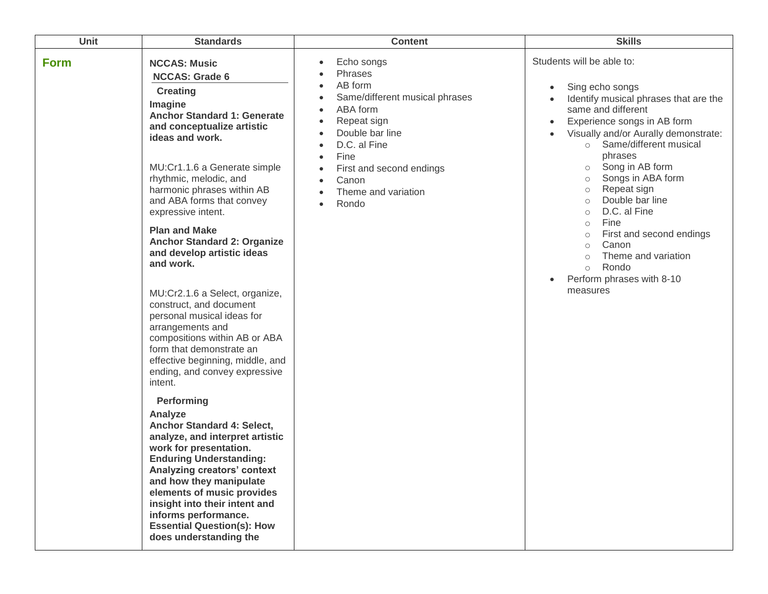| Unit        | <b>Standards</b>                                                                                                                                                                                                                                                                                                                                                                                                                                                                                                                                                                                                                                                                                                                                                                                                                                                                                                                                                                                                                                        | <b>Content</b>                                                                                                                                                                                                     | <b>Skills</b>                                                                                                                                                                                                                                                                                                                                                                                                                                                                                                                                                                                                                      |
|-------------|---------------------------------------------------------------------------------------------------------------------------------------------------------------------------------------------------------------------------------------------------------------------------------------------------------------------------------------------------------------------------------------------------------------------------------------------------------------------------------------------------------------------------------------------------------------------------------------------------------------------------------------------------------------------------------------------------------------------------------------------------------------------------------------------------------------------------------------------------------------------------------------------------------------------------------------------------------------------------------------------------------------------------------------------------------|--------------------------------------------------------------------------------------------------------------------------------------------------------------------------------------------------------------------|------------------------------------------------------------------------------------------------------------------------------------------------------------------------------------------------------------------------------------------------------------------------------------------------------------------------------------------------------------------------------------------------------------------------------------------------------------------------------------------------------------------------------------------------------------------------------------------------------------------------------------|
| <b>Form</b> | <b>NCCAS: Music</b><br><b>NCCAS: Grade 6</b><br><b>Creating</b><br>Imagine<br><b>Anchor Standard 1: Generate</b><br>and conceptualize artistic<br>ideas and work.<br>MU:Cr1.1.6 a Generate simple<br>rhythmic, melodic, and<br>harmonic phrases within AB<br>and ABA forms that convey<br>expressive intent.<br><b>Plan and Make</b><br><b>Anchor Standard 2: Organize</b><br>and develop artistic ideas<br>and work.<br>MU:Cr2.1.6 a Select, organize,<br>construct, and document<br>personal musical ideas for<br>arrangements and<br>compositions within AB or ABA<br>form that demonstrate an<br>effective beginning, middle, and<br>ending, and convey expressive<br>intent.<br>Performing<br>Analyze<br>Anchor Standard 4: Select,<br>analyze, and interpret artistic<br>work for presentation.<br><b>Enduring Understanding:</b><br>Analyzing creators' context<br>and how they manipulate<br>elements of music provides<br>insight into their intent and<br>informs performance.<br><b>Essential Question(s): How</b><br>does understanding the | Echo songs<br>٠<br>Phrases<br>AB form<br>Same/different musical phrases<br>ABA form<br>Repeat sign<br>Double bar line<br>D.C. al Fine<br>Fine<br>First and second endings<br>Canon<br>Theme and variation<br>Rondo | Students will be able to:<br>Sing echo songs<br>$\bullet$<br>Identify musical phrases that are the<br>$\bullet$<br>same and different<br>Experience songs in AB form<br>$\bullet$<br>Visually and/or Aurally demonstrate:<br>$\bullet$<br>Same/different musical<br>$\circ$<br>phrases<br>Song in AB form<br>$\circ$<br>Songs in ABA form<br>$\circ$<br>Repeat sign<br>$\circ$<br>Double bar line<br>$\circ$<br>D.C. al Fine<br>$\circ$<br>Fine<br>$\circlearrowright$<br>First and second endings<br>$\circ$<br>Canon<br>$\circ$<br>Theme and variation<br>Rondo<br>$\circ$<br>Perform phrases with 8-10<br>$\bullet$<br>measures |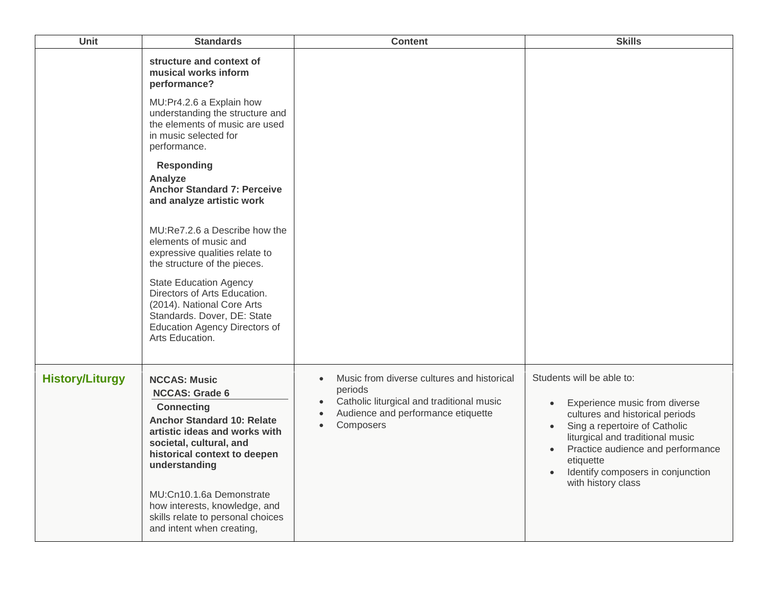| Unit                   | <b>Standards</b>                                                                                                                                                                                                                                                                                                                                   | <b>Content</b>                                                                                                                                                                  | <b>Skills</b>                                                                                                                                                                                                                                                                                                          |
|------------------------|----------------------------------------------------------------------------------------------------------------------------------------------------------------------------------------------------------------------------------------------------------------------------------------------------------------------------------------------------|---------------------------------------------------------------------------------------------------------------------------------------------------------------------------------|------------------------------------------------------------------------------------------------------------------------------------------------------------------------------------------------------------------------------------------------------------------------------------------------------------------------|
|                        | structure and context of<br>musical works inform<br>performance?                                                                                                                                                                                                                                                                                   |                                                                                                                                                                                 |                                                                                                                                                                                                                                                                                                                        |
|                        | MU:Pr4.2.6 a Explain how<br>understanding the structure and<br>the elements of music are used<br>in music selected for<br>performance.                                                                                                                                                                                                             |                                                                                                                                                                                 |                                                                                                                                                                                                                                                                                                                        |
|                        | <b>Responding</b><br>Analyze<br><b>Anchor Standard 7: Perceive</b><br>and analyze artistic work                                                                                                                                                                                                                                                    |                                                                                                                                                                                 |                                                                                                                                                                                                                                                                                                                        |
|                        | MU:Re7.2.6 a Describe how the<br>elements of music and<br>expressive qualities relate to<br>the structure of the pieces.                                                                                                                                                                                                                           |                                                                                                                                                                                 |                                                                                                                                                                                                                                                                                                                        |
|                        | <b>State Education Agency</b><br>Directors of Arts Education.<br>(2014). National Core Arts<br>Standards. Dover, DE: State<br><b>Education Agency Directors of</b><br>Arts Education.                                                                                                                                                              |                                                                                                                                                                                 |                                                                                                                                                                                                                                                                                                                        |
| <b>History/Liturgy</b> | <b>NCCAS: Music</b><br><b>NCCAS: Grade 6</b><br><b>Connecting</b><br><b>Anchor Standard 10: Relate</b><br>artistic ideas and works with<br>societal, cultural, and<br>historical context to deepen<br>understanding<br>MU:Cn10.1.6a Demonstrate<br>how interests, knowledge, and<br>skills relate to personal choices<br>and intent when creating, | Music from diverse cultures and historical<br>$\bullet$<br>periods<br>Catholic liturgical and traditional music<br>$\bullet$<br>Audience and performance etiquette<br>Composers | Students will be able to:<br>Experience music from diverse<br>$\bullet$<br>cultures and historical periods<br>Sing a repertoire of Catholic<br>$\bullet$<br>liturgical and traditional music<br>Practice audience and performance<br>etiquette<br>Identify composers in conjunction<br>$\bullet$<br>with history class |